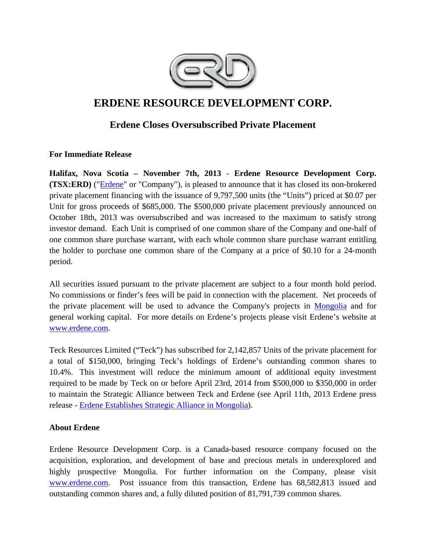

# **ERDENE RESOURCE DEVELOPMENT CORP.**

## **Erdene Closes Oversubscribed Private Placement**

### **For Immediate Release**

**Halifax, Nova Scotia – November 7th, 2013** - **Erdene Resource Development Corp. (TSX:ERD)** ("Erdene" or "Company"), is pleased to announce that it has closed its non-brokered private placement financing with the issuance of 9,797,500 units (the "Units") priced at \$0.07 per Unit for gross proceeds of \$685,000. The \$500,000 private placement previously announced on October 18th, 2013 was oversubscribed and was increased to the maximum to satisfy strong investor demand. Each Unit is comprised of one common share of the Company and one-half of one common share purchase warrant, with each whole common share purchase warrant entitling the holder to purchase one common share of the Company at a price of \$0.10 for a 24-month period.

All securities issued pursuant to the private placement are subject to a four month hold period. No commissions or finder's fees will be paid in connection with the placement. Net proceeds of the private placement will be used to advance the Company's projects in Mongolia and for general working capital. For more details on Erdene's projects please visit Erdene's website at www.erdene.com.

Teck Resources Limited ("Teck") has subscribed for 2,142,857 Units of the private placement for a total of \$150,000, bringing Teck's holdings of Erdene's outstanding common shares to 10.4%. This investment will reduce the minimum amount of additional equity investment required to be made by Teck on or before April 23rd, 2014 from \$500,000 to \$350,000 in order to maintain the Strategic Alliance between Teck and Erdene (see April 11th, 2013 Erdene press release - Erdene Establishes Strategic Alliance in Mongolia).

### **About Erdene**

Erdene Resource Development Corp. is a Canada-based resource company focused on the acquisition, exploration, and development of base and precious metals in underexplored and highly prospective Mongolia. For further information on the Company, please visit www.erdene.com. Post issuance from this transaction, Erdene has 68,582,813 issued and outstanding common shares and, a fully diluted position of 81,791,739 common shares.